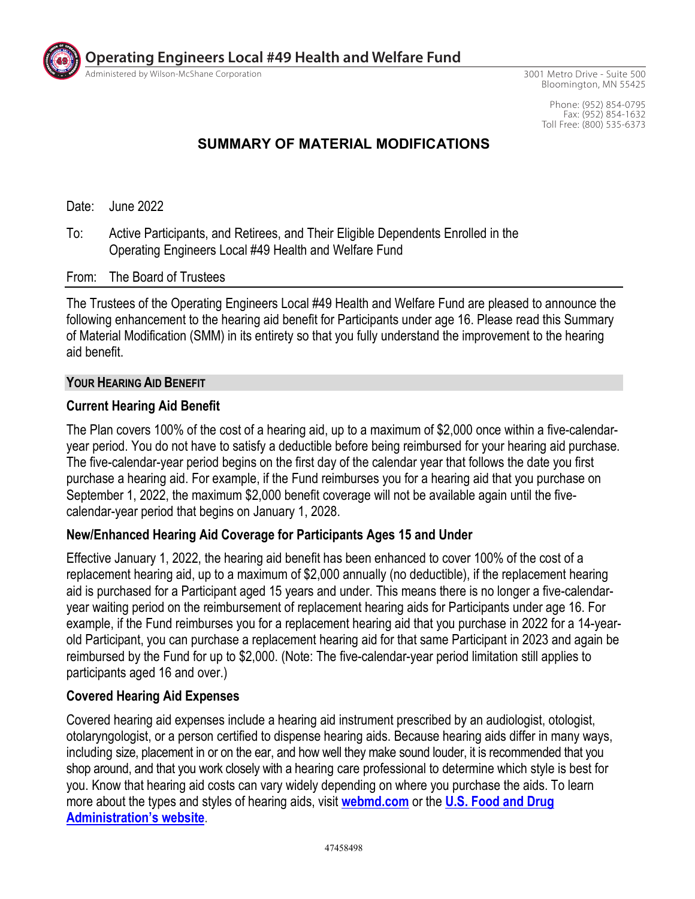

**Operating Engineers Local #49 Health and Welfare Fund**

Administered by Wilson-McShane Corporation

3001 Metro Drive - Suite 500 Bloomington, MN 55425

> Phone: (952) 854-0795 Fax: (952) 854-1632 Toll Free: (800) 535-6373

## **SUMMARY OF MATERIAL MODIFICATIONS**

Date: June 2022

To: Active Participants, and Retirees, and Their Eligible Dependents Enrolled in the Operating Engineers Local #49 Health and Welfare Fund

#### From: The Board of Trustees

The Trustees of the Operating Engineers Local #49 Health and Welfare Fund are pleased to announce the following enhancement to the hearing aid benefit for Participants under age 16. Please read this Summary of Material Modification (SMM) in its entirety so that you fully understand the improvement to the hearing aid benefit.

#### **YOUR HEARING AID BENEFIT**

#### **Current Hearing Aid Benefit**

The Plan covers 100% of the cost of a hearing aid, up to a maximum of \$2,000 once within a five-calendaryear period. You do not have to satisfy a deductible before being reimbursed for your hearing aid purchase. The five-calendar-year period begins on the first day of the calendar year that follows the date you first purchase a hearing aid. For example, if the Fund reimburses you for a hearing aid that you purchase on September 1, 2022, the maximum \$2,000 benefit coverage will not be available again until the fivecalendar-year period that begins on January 1, 2028.

### **New/Enhanced Hearing Aid Coverage for Participants Ages 15 and Under**

Effective January 1, 2022, the hearing aid benefit has been enhanced to cover 100% of the cost of a replacement hearing aid, up to a maximum of \$2,000 annually (no deductible), if the replacement hearing aid is purchased for a Participant aged 15 years and under. This means there is no longer a five-calendaryear waiting period on the reimbursement of replacement hearing aids for Participants under age 16. For example, if the Fund reimburses you for a replacement hearing aid that you purchase in 2022 for a 14-yearold Participant, you can purchase a replacement hearing aid for that same Participant in 2023 and again be reimbursed by the Fund for up to \$2,000. (Note: The five-calendar-year period limitation still applies to participants aged 16 and over.)

### **Covered Hearing Aid Expenses**

Covered hearing aid expenses include a hearing aid instrument prescribed by an audiologist, otologist, otolaryngologist, or a person certified to dispense hearing aids. Because hearing aids differ in many ways, including size, placement in or on the ear, and how well they make sound louder, it is recommended that you shop around, and that you work closely with a hearing care professional to determine which style is best for you. Know that hearing aid costs can vary widely depending on where you purchase the aids. To learn more about the types and styles of hearing aids, visit **webmd.com** or the **U.S. Food and Drug Administration's website**.